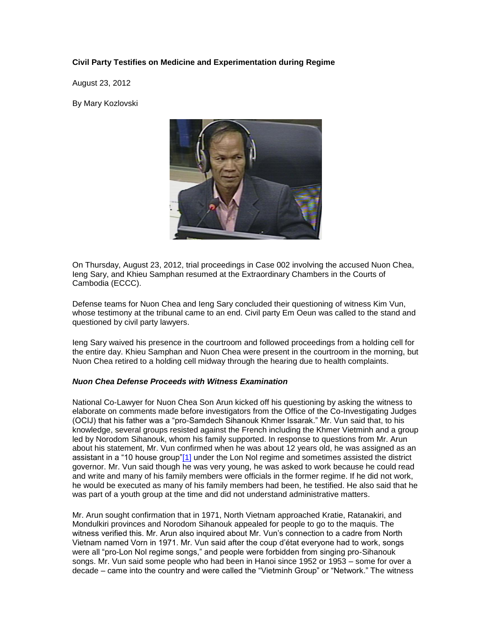# **Civil Party Testifies on Medicine and Experimentation during Regime**

August 23, 2012

By Mary Kozlovski



On Thursday, August 23, 2012, trial proceedings in Case 002 involving the accused Nuon Chea, Ieng Sary, and Khieu Samphan resumed at the Extraordinary Chambers in the Courts of Cambodia (ECCC).

Defense teams for Nuon Chea and Ieng Sary concluded their questioning of witness Kim Vun, whose testimony at the tribunal came to an end. Civil party Em Oeun was called to the stand and questioned by civil party lawyers.

Ieng Sary waived his presence in the courtroom and followed proceedings from a holding cell for the entire day. Khieu Samphan and Nuon Chea were present in the courtroom in the morning, but Nuon Chea retired to a holding cell midway through the hearing due to health complaints.

#### *Nuon Chea Defense Proceeds with Witness Examination*

National Co-Lawyer for Nuon Chea Son Arun kicked off his questioning by asking the witness to elaborate on comments made before investigators from the Office of the Co-Investigating Judges (OCIJ) that his father was a "pro-Samdech Sihanouk Khmer Issarak." Mr. Vun said that, to his knowledge, several groups resisted against the French including the Khmer Vietminh and a group led by Norodom Sihanouk, whom his family supported. In response to questions from Mr. Arun about his statement, Mr. Vun confirmed when he was about 12 years old, he was assigned as an assistant in a "10 house group["\[1\]](http://www.cambodiatribunal.org/blog/2012/08/civil-party-testifies-medicine-and-experimentation-during-regime#_ftn1) under the Lon Nol regime and sometimes assisted the district governor. Mr. Vun said though he was very young, he was asked to work because he could read and write and many of his family members were officials in the former regime. If he did not work, he would be executed as many of his family members had been, he testified. He also said that he was part of a youth group at the time and did not understand administrative matters.

Mr. Arun sought confirmation that in 1971, North Vietnam approached Kratie, Ratanakiri, and Mondulkiri provinces and Norodom Sihanouk appealed for people to go to the maquis. The witness verified this. Mr. Arun also inquired about Mr. Vun's connection to a cadre from North Vietnam named Vorn in 1971. Mr. Vun said after the coup d'état everyone had to work, songs were all "pro-Lon Nol regime songs," and people were forbidden from singing pro-Sihanouk songs. Mr. Vun said some people who had been in Hanoi since 1952 or 1953 – some for over a decade – came into the country and were called the "Vietminh Group" or "Network." The witness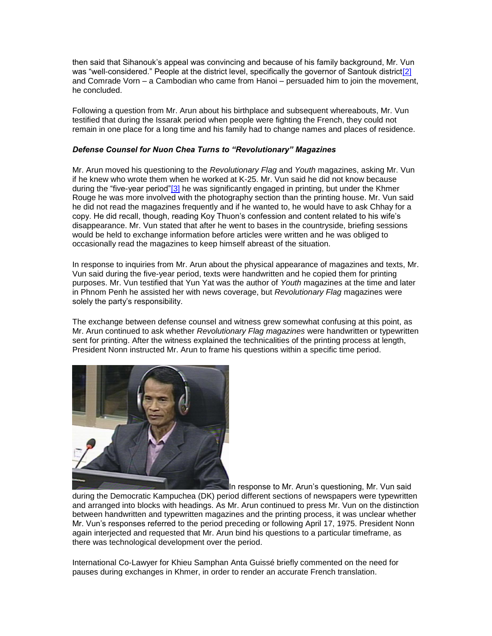then said that Sihanouk's appeal was convincing and because of his family background, Mr. Vun was "well-considered." People at the district level, specifically the governor of Santouk district<sup>[2]</sup> and Comrade Vorn – a Cambodian who came from Hanoi – persuaded him to join the movement, he concluded.

Following a question from Mr. Arun about his birthplace and subsequent whereabouts, Mr. Vun testified that during the Issarak period when people were fighting the French, they could not remain in one place for a long time and his family had to change names and places of residence.

### *Defense Counsel for Nuon Chea Turns to "Revolutionary" Magazines*

Mr. Arun moved his questioning to the *Revolutionary Flag* and *Youth* magazines, asking Mr. Vun if he knew who wrote them when he worked at K-25. Mr. Vun said he did not know because during the "five-year period["\[3\]](http://www.cambodiatribunal.org/blog/2012/08/civil-party-testifies-medicine-and-experimentation-during-regime#_ftn3) he was significantly engaged in printing, but under the Khmer Rouge he was more involved with the photography section than the printing house. Mr. Vun said he did not read the magazines frequently and if he wanted to, he would have to ask Chhay for a copy. He did recall, though, reading Koy Thuon's confession and content related to his wife's disappearance. Mr. Vun stated that after he went to bases in the countryside, briefing sessions would be held to exchange information before articles were written and he was obliged to occasionally read the magazines to keep himself abreast of the situation.

In response to inquiries from Mr. Arun about the physical appearance of magazines and texts, Mr. Vun said during the five-year period, texts were handwritten and he copied them for printing purposes. Mr. Vun testified that Yun Yat was the author of *Youth* magazines at the time and later in Phnom Penh he assisted her with news coverage, but *Revolutionary Flag* magazines were solely the party's responsibility.

The exchange between defense counsel and witness grew somewhat confusing at this point, as Mr. Arun continued to ask whether *Revolutionary Flag magazines* were handwritten or typewritten sent for printing. After the witness explained the technicalities of the printing process at length, President Nonn instructed Mr. Arun to frame his questions within a specific time period.



In response to Mr. Arun's questioning, Mr. Vun said

during the Democratic Kampuchea (DK) period different sections of newspapers were typewritten and arranged into blocks with headings. As Mr. Arun continued to press Mr. Vun on the distinction between handwritten and typewritten magazines and the printing process, it was unclear whether Mr. Vun's responses referred to the period preceding or following April 17, 1975. President Nonn again interjected and requested that Mr. Arun bind his questions to a particular timeframe, as there was technological development over the period.

International Co-Lawyer for Khieu Samphan Anta Guissé briefly commented on the need for pauses during exchanges in Khmer, in order to render an accurate French translation.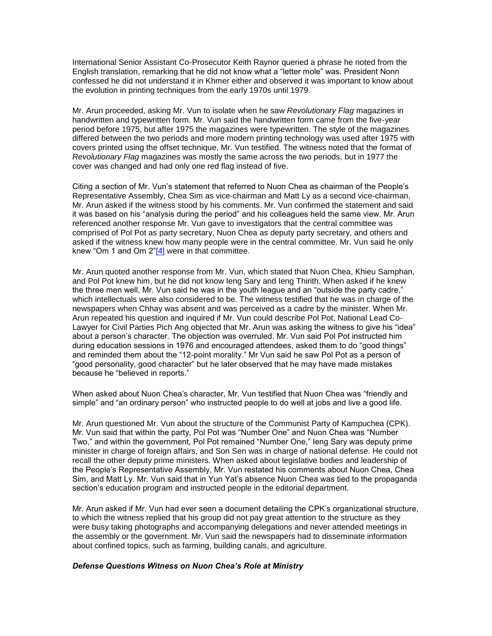International Senior Assistant Co-Prosecutor Keith Raynor queried a phrase he noted from the English translation, remarking that he did not know what a "letter mole" was. President Nonn confessed he did not understand it in Khmer either and observed it was important to know about the evolution in printing techniques from the early 1970s until 1979.

Mr. Arun proceeded, asking Mr. Vun to isolate when he saw *Revolutionary Flag* magazines in handwritten and typewritten form. Mr. Vun said the handwritten form came from the five-year period before 1975, but after 1975 the magazines were typewritten. The style of the magazines differed between the two periods and more modern printing technology was used after 1975 with covers printed using the offset technique, Mr. Vun testified. The witness noted that the format of *Revolutionary Flag* magazines was mostly the same across the two periods, but in 1977 the cover was changed and had only one red flag instead of five.

Citing a section of Mr. Vun's statement that referred to Nuon Chea as chairman of the People's Representative Assembly, Chea Sim as vice-chairman and Matt Ly as a second vice-chairman, Mr. Arun asked if the witness stood by his comments. Mr. Vun confirmed the statement and said it was based on his "analysis during the period" and his colleagues held the same view. Mr. Arun referenced another response Mr. Vun gave to investigators that the central committee was comprised of Pol Pot as party secretary, Nuon Chea as deputy party secretary, and others and asked if the witness knew how many people were in the central committee. Mr. Vun said he only knew "Om 1 and Om  $2^{n}$ [4] were in that committee.

Mr. Arun quoted another response from Mr. Vun, which stated that Nuon Chea, Khieu Samphan, and Pol Pot knew him, but he did not know Ieng Sary and Ieng Thirith. When asked if he knew the three men well, Mr. Vun said he was in the youth league and an "outside the party cadre," which intellectuals were also considered to be. The witness testified that he was in charge of the newspapers when Chhay was absent and was perceived as a cadre by the minister. When Mr. Arun repeated his question and inquired if Mr. Vun could describe Pol Pot, National Lead Co-Lawyer for Civil Parties Pich Ang objected that Mr. Arun was asking the witness to give his "idea" about a person's character. The objection was overruled. Mr. Vun said Pol Pot instructed him during education sessions in 1976 and encouraged attendees, asked them to do "good things" and reminded them about the "12-point morality." Mr Vun said he saw Pol Pot as a person of "good personality, good character" but he later observed that he may have made mistakes because he "believed in reports."

When asked about Nuon Chea's character, Mr. Vun testified that Nuon Chea was "friendly and simple" and "an ordinary person" who instructed people to do well at jobs and live a good life.

Mr. Arun questioned Mr. Vun about the structure of the Communist Party of Kampuchea (CPK). Mr. Vun said that within the party, Pol Pot was "Number One" and Nuon Chea was "Number Two," and within the government, Pol Pot remained "Number One," Ieng Sary was deputy prime minister in charge of foreign affairs, and Son Sen was in charge of national defense. He could not recall the other deputy prime ministers. When asked about legislative bodies and leadership of the People's Representative Assembly, Mr. Vun restated his comments about Nuon Chea, Chea Sim, and Matt Ly. Mr. Vun said that in Yun Yat's absence Nuon Chea was tied to the propaganda section's education program and instructed people in the editorial department.

Mr. Arun asked if Mr. Vun had ever seen a document detailing the CPK's organizational structure, to which the witness replied that his group did not pay great attention to the structure as they were busy taking photographs and accompanying delegations and never attended meetings in the assembly or the government. Mr. Vun said the newspapers had to disseminate information about confined topics, such as farming, building canals, and agriculture.

#### *Defense Questions Witness on Nuon Chea's Role at Ministry*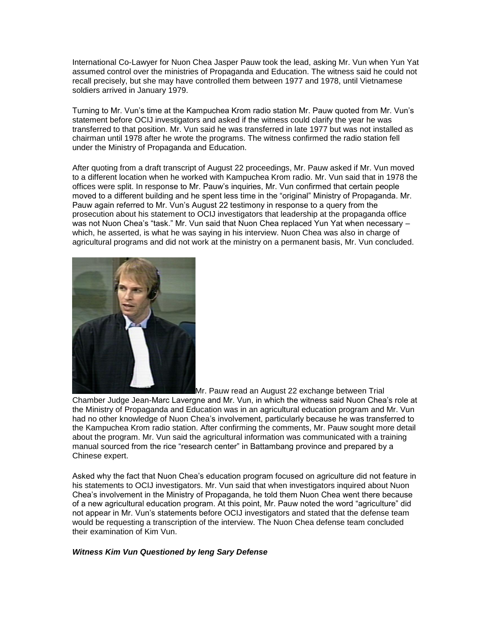International Co-Lawyer for Nuon Chea Jasper Pauw took the lead, asking Mr. Vun when Yun Yat assumed control over the ministries of Propaganda and Education. The witness said he could not recall precisely, but she may have controlled them between 1977 and 1978, until Vietnamese soldiers arrived in January 1979.

Turning to Mr. Vun's time at the Kampuchea Krom radio station Mr. Pauw quoted from Mr. Vun's statement before OCIJ investigators and asked if the witness could clarify the year he was transferred to that position. Mr. Vun said he was transferred in late 1977 but was not installed as chairman until 1978 after he wrote the programs. The witness confirmed the radio station fell under the Ministry of Propaganda and Education.

After quoting from a draft transcript of August 22 proceedings, Mr. Pauw asked if Mr. Vun moved to a different location when he worked with Kampuchea Krom radio. Mr. Vun said that in 1978 the offices were split. In response to Mr. Pauw's inquiries, Mr. Vun confirmed that certain people moved to a different building and he spent less time in the "original" Ministry of Propaganda. Mr. Pauw again referred to Mr. Vun's August 22 testimony in response to a query from the prosecution about his statement to OCIJ investigators that leadership at the propaganda office was not Nuon Chea's "task." Mr. Vun said that Nuon Chea replaced Yun Yat when necessary – which, he asserted, is what he was saying in his interview. Nuon Chea was also in charge of agricultural programs and did not work at the ministry on a permanent basis, Mr. Vun concluded.



Mr. Pauw read an August 22 exchange between Trial

Chamber Judge Jean-Marc Lavergne and Mr. Vun, in which the witness said Nuon Chea's role at the Ministry of Propaganda and Education was in an agricultural education program and Mr. Vun had no other knowledge of Nuon Chea's involvement, particularly because he was transferred to the Kampuchea Krom radio station. After confirming the comments, Mr. Pauw sought more detail about the program. Mr. Vun said the agricultural information was communicated with a training manual sourced from the rice "research center" in Battambang province and prepared by a Chinese expert.

Asked why the fact that Nuon Chea's education program focused on agriculture did not feature in his statements to OCIJ investigators. Mr. Vun said that when investigators inquired about Nuon Chea's involvement in the Ministry of Propaganda, he told them Nuon Chea went there because of a new agricultural education program. At this point, Mr. Pauw noted the word "agriculture" did not appear in Mr. Vun's statements before OCIJ investigators and stated that the defense team would be requesting a transcription of the interview. The Nuon Chea defense team concluded their examination of Kim Vun.

## *Witness Kim Vun Questioned by Ieng Sary Defense*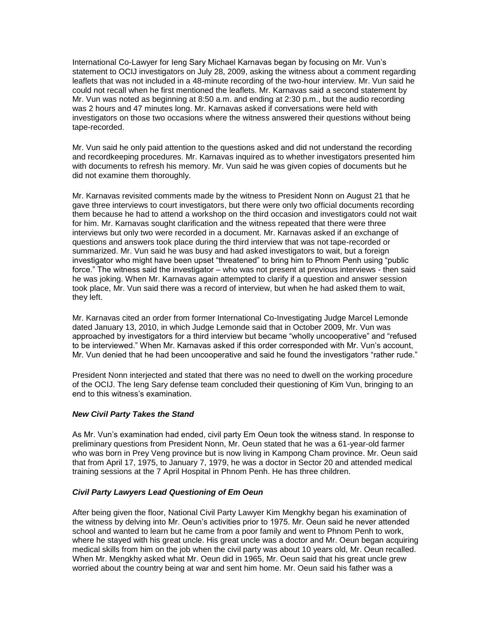International Co-Lawyer for Ieng Sary Michael Karnavas began by focusing on Mr. Vun's statement to OCIJ investigators on July 28, 2009, asking the witness about a comment regarding leaflets that was not included in a 48-minute recording of the two-hour interview. Mr. Vun said he could not recall when he first mentioned the leaflets. Mr. Karnavas said a second statement by Mr. Vun was noted as beginning at 8:50 a.m. and ending at 2:30 p.m., but the audio recording was 2 hours and 47 minutes long. Mr. Karnavas asked if conversations were held with investigators on those two occasions where the witness answered their questions without being tape-recorded.

Mr. Vun said he only paid attention to the questions asked and did not understand the recording and recordkeeping procedures. Mr. Karnavas inquired as to whether investigators presented him with documents to refresh his memory. Mr. Vun said he was given copies of documents but he did not examine them thoroughly.

Mr. Karnavas revisited comments made by the witness to President Nonn on August 21 that he gave three interviews to court investigators, but there were only two official documents recording them because he had to attend a workshop on the third occasion and investigators could not wait for him. Mr. Karnavas sought clarification and the witness repeated that there were three interviews but only two were recorded in a document. Mr. Karnavas asked if an exchange of questions and answers took place during the third interview that was not tape-recorded or summarized. Mr. Vun said he was busy and had asked investigators to wait, but a foreign investigator who might have been upset "threatened" to bring him to Phnom Penh using "public force." The witness said the investigator – who was not present at previous interviews - then said he was joking. When Mr. Karnavas again attempted to clarify if a question and answer session took place, Mr. Vun said there was a record of interview, but when he had asked them to wait, they left.

Mr. Karnavas cited an order from former International Co-Investigating Judge Marcel Lemonde dated January 13, 2010, in which Judge Lemonde said that in October 2009, Mr. Vun was approached by investigators for a third interview but became "wholly uncooperative" and "refused to be interviewed." When Mr. Karnavas asked if this order corresponded with Mr. Vun's account, Mr. Vun denied that he had been uncooperative and said he found the investigators "rather rude."

President Nonn interjected and stated that there was no need to dwell on the working procedure of the OCIJ. The Ieng Sary defense team concluded their questioning of Kim Vun, bringing to an end to this witness's examination.

#### *New Civil Party Takes the Stand*

As Mr. Vun's examination had ended, civil party Em Oeun took the witness stand. In response to preliminary questions from President Nonn, Mr. Oeun stated that he was a 61-year-old farmer who was born in Prey Veng province but is now living in Kampong Cham province. Mr. Oeun said that from April 17, 1975, to January 7, 1979, he was a doctor in Sector 20 and attended medical training sessions at the 7 April Hospital in Phnom Penh. He has three children.

#### *Civil Party Lawyers Lead Questioning of Em Oeun*

After being given the floor, National Civil Party Lawyer Kim Mengkhy began his examination of the witness by delving into Mr. Oeun's activities prior to 1975. Mr. Oeun said he never attended school and wanted to learn but he came from a poor family and went to Phnom Penh to work, where he stayed with his great uncle. His great uncle was a doctor and Mr. Oeun began acquiring medical skills from him on the job when the civil party was about 10 years old, Mr. Oeun recalled. When Mr. Mengkhy asked what Mr. Oeun did in 1965, Mr. Oeun said that his great uncle grew worried about the country being at war and sent him home. Mr. Oeun said his father was a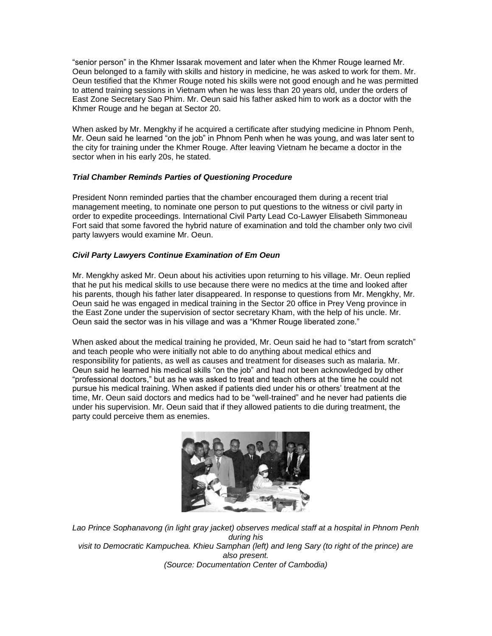"senior person" in the Khmer Issarak movement and later when the Khmer Rouge learned Mr. Oeun belonged to a family with skills and history in medicine, he was asked to work for them. Mr. Oeun testified that the Khmer Rouge noted his skills were not good enough and he was permitted to attend training sessions in Vietnam when he was less than 20 years old, under the orders of East Zone Secretary Sao Phim. Mr. Oeun said his father asked him to work as a doctor with the Khmer Rouge and he began at Sector 20.

When asked by Mr. Mengkhy if he acquired a certificate after studying medicine in Phnom Penh, Mr. Oeun said he learned "on the job" in Phnom Penh when he was young, and was later sent to the city for training under the Khmer Rouge. After leaving Vietnam he became a doctor in the sector when in his early 20s, he stated.

## *Trial Chamber Reminds Parties of Questioning Procedure*

President Nonn reminded parties that the chamber encouraged them during a recent trial management meeting, to nominate one person to put questions to the witness or civil party in order to expedite proceedings. International Civil Party Lead Co-Lawyer Elisabeth Simmoneau Fort said that some favored the hybrid nature of examination and told the chamber only two civil party lawyers would examine Mr. Oeun.

## *Civil Party Lawyers Continue Examination of Em Oeun*

Mr. Mengkhy asked Mr. Oeun about his activities upon returning to his village. Mr. Oeun replied that he put his medical skills to use because there were no medics at the time and looked after his parents, though his father later disappeared. In response to questions from Mr. Mengkhy, Mr. Oeun said he was engaged in medical training in the Sector 20 office in Prey Veng province in the East Zone under the supervision of sector secretary Kham, with the help of his uncle. Mr. Oeun said the sector was in his village and was a "Khmer Rouge liberated zone."

When asked about the medical training he provided, Mr. Oeun said he had to "start from scratch" and teach people who were initially not able to do anything about medical ethics and responsibility for patients, as well as causes and treatment for diseases such as malaria. Mr. Oeun said he learned his medical skills "on the job" and had not been acknowledged by other "professional doctors," but as he was asked to treat and teach others at the time he could not pursue his medical training. When asked if patients died under his or others' treatment at the time, Mr. Oeun said doctors and medics had to be "well-trained" and he never had patients die under his supervision. Mr. Oeun said that if they allowed patients to die during treatment, the party could perceive them as enemies.



*Lao Prince Sophanavong (in light gray jacket) observes medical staff at a hospital in Phnom Penh during his visit to Democratic Kampuchea. Khieu Samphan (left) and Ieng Sary (to right of the prince) are also present. (Source: Documentation Center of Cambodia)*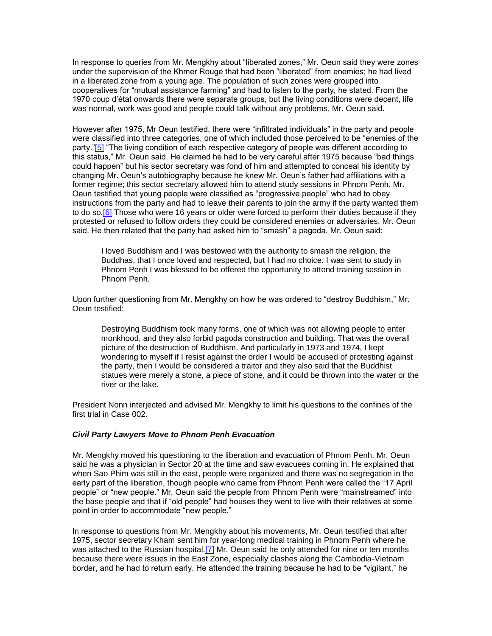In response to queries from Mr. Mengkhy about "liberated zones," Mr. Oeun said they were zones under the supervision of the Khmer Rouge that had been "liberated" from enemies; he had lived in a liberated zone from a young age. The population of such zones were grouped into cooperatives for "mutual assistance farming" and had to listen to the party, he stated. From the 1970 coup d'état onwards there were separate groups, but the living conditions were decent, life was normal, work was good and people could talk without any problems, Mr. Oeun said.

However after 1975, Mr Oeun testified, there were "infiltrated individuals" in the party and people were classified into three categories, one of which included those perceived to be "enemies of the party.["\[5\]](http://www.cambodiatribunal.org/blog/2012/08/civil-party-testifies-medicine-and-experimentation-during-regime#_ftn5) "The living condition of each respective category of people was different according to this status," Mr. Oeun said. He claimed he had to be very careful after 1975 because "bad things could happen" but his sector secretary was fond of him and attempted to conceal his identity by changing Mr. Oeun's autobiography because he knew Mr. Oeun's father had affiliations with a former regime; this sector secretary allowed him to attend study sessions in Phnom Penh. Mr. Oeun testified that young people were classified as "progressive people" who had to obey instructions from the party and had to leave their parents to join the army if the party wanted them to do so[.\[6\]](http://www.cambodiatribunal.org/blog/2012/08/civil-party-testifies-medicine-and-experimentation-during-regime#_ftn6) Those who were 16 years or older were forced to perform their duties because if they protested or refused to follow orders they could be considered enemies or adversaries, Mr. Oeun said. He then related that the party had asked him to "smash" a pagoda. Mr. Oeun said:

I loved Buddhism and I was bestowed with the authority to smash the religion, the Buddhas, that I once loved and respected, but I had no choice. I was sent to study in Phnom Penh I was blessed to be offered the opportunity to attend training session in Phnom Penh.

Upon further questioning from Mr. Mengkhy on how he was ordered to "destroy Buddhism," Mr. Oeun testified:

Destroying Buddhism took many forms, one of which was not allowing people to enter monkhood, and they also forbid pagoda construction and building. That was the overall picture of the destruction of Buddhism. And particularly in 1973 and 1974, I kept wondering to myself if I resist against the order I would be accused of protesting against the party, then I would be considered a traitor and they also said that the Buddhist statues were merely a stone, a piece of stone, and it could be thrown into the water or the river or the lake.

President Nonn interjected and advised Mr. Mengkhy to limit his questions to the confines of the first trial in Case 002.

#### *Civil Party Lawyers Move to Phnom Penh Evacuation*

Mr. Mengkhy moved his questioning to the liberation and evacuation of Phnom Penh. Mr. Oeun said he was a physician in Sector 20 at the time and saw evacuees coming in. He explained that when Sao Phim was still in the east, people were organized and there was no segregation in the early part of the liberation, though people who came from Phnom Penh were called the "17 April people" or "new people." Mr. Oeun said the people from Phnom Penh were "mainstreamed" into the base people and that if "old people" had houses they went to live with their relatives at some point in order to accommodate "new people."

In response to questions from Mr. Mengkhy about his movements, Mr. Oeun testified that after 1975, sector secretary Kham sent him for year-long medical training in Phnom Penh where he was attached to the Russian hospital.<sup>[7]</sup> Mr. Oeun said he only attended for nine or ten months because there were issues in the East Zone, especially clashes along the Cambodia-Vietnam border, and he had to return early. He attended the training because he had to be "vigilant," he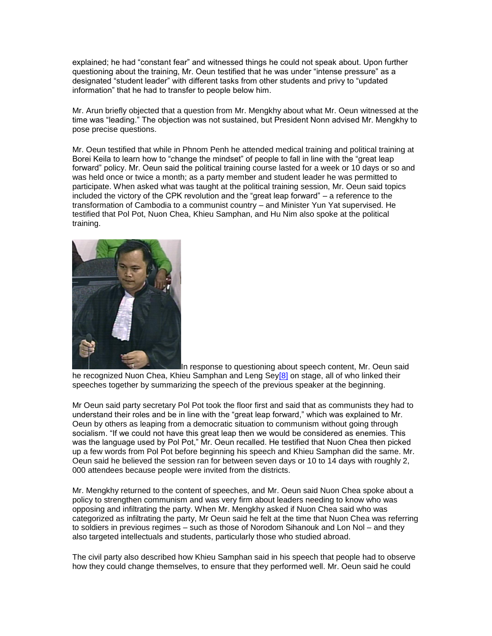explained; he had "constant fear" and witnessed things he could not speak about. Upon further questioning about the training, Mr. Oeun testified that he was under "intense pressure" as a designated "student leader" with different tasks from other students and privy to "updated information" that he had to transfer to people below him.

Mr. Arun briefly objected that a question from Mr. Mengkhy about what Mr. Oeun witnessed at the time was "leading." The objection was not sustained, but President Nonn advised Mr. Mengkhy to pose precise questions.

Mr. Oeun testified that while in Phnom Penh he attended medical training and political training at Borei Keila to learn how to "change the mindset" of people to fall in line with the "great leap forward" policy. Mr. Oeun said the political training course lasted for a week or 10 days or so and was held once or twice a month; as a party member and student leader he was permitted to participate. When asked what was taught at the political training session, Mr. Oeun said topics included the victory of the CPK revolution and the "great leap forward" – a reference to the transformation of Cambodia to a communist country – and Minister Yun Yat supervised. He testified that Pol Pot, Nuon Chea, Khieu Samphan, and Hu Nim also spoke at the political training.



In response to questioning about speech content, Mr. Oeun said

he recognized Nuon Chea, Khieu Samphan and Leng Sey<sup>[8]</sup> on stage, all of who linked their speeches together by summarizing the speech of the previous speaker at the beginning.

Mr Oeun said party secretary Pol Pot took the floor first and said that as communists they had to understand their roles and be in line with the "great leap forward," which was explained to Mr. Oeun by others as leaping from a democratic situation to communism without going through socialism. "If we could not have this great leap then we would be considered as enemies. This was the language used by Pol Pot," Mr. Oeun recalled. He testified that Nuon Chea then picked up a few words from Pol Pot before beginning his speech and Khieu Samphan did the same. Mr. Oeun said he believed the session ran for between seven days or 10 to 14 days with roughly 2, 000 attendees because people were invited from the districts.

Mr. Mengkhy returned to the content of speeches, and Mr. Oeun said Nuon Chea spoke about a policy to strengthen communism and was very firm about leaders needing to know who was opposing and infiltrating the party. When Mr. Mengkhy asked if Nuon Chea said who was categorized as infiltrating the party, Mr Oeun said he felt at the time that Nuon Chea was referring to soldiers in previous regimes – such as those of Norodom Sihanouk and Lon Nol – and they also targeted intellectuals and students, particularly those who studied abroad.

The civil party also described how Khieu Samphan said in his speech that people had to observe how they could change themselves, to ensure that they performed well. Mr. Oeun said he could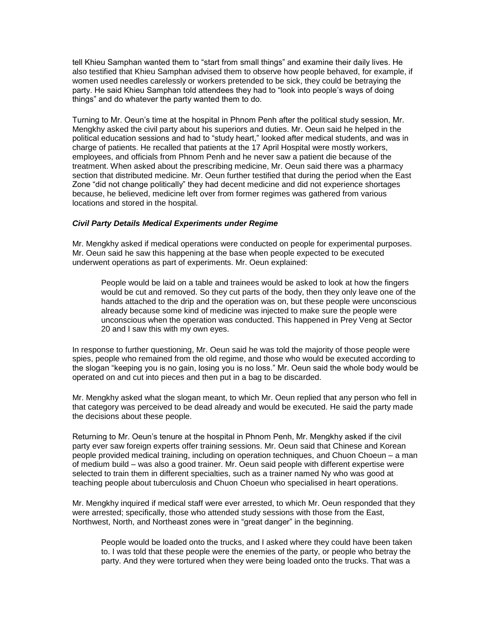tell Khieu Samphan wanted them to "start from small things" and examine their daily lives. He also testified that Khieu Samphan advised them to observe how people behaved, for example, if women used needles carelessly or workers pretended to be sick, they could be betraying the party. He said Khieu Samphan told attendees they had to "look into people's ways of doing things" and do whatever the party wanted them to do.

Turning to Mr. Oeun's time at the hospital in Phnom Penh after the political study session, Mr. Mengkhy asked the civil party about his superiors and duties. Mr. Oeun said he helped in the political education sessions and had to "study heart," looked after medical students, and was in charge of patients. He recalled that patients at the 17 April Hospital were mostly workers, employees, and officials from Phnom Penh and he never saw a patient die because of the treatment. When asked about the prescribing medicine, Mr. Oeun said there was a pharmacy section that distributed medicine. Mr. Oeun further testified that during the period when the East Zone "did not change politically" they had decent medicine and did not experience shortages because, he believed, medicine left over from former regimes was gathered from various locations and stored in the hospital.

#### *Civil Party Details Medical Experiments under Regime*

Mr. Mengkhy asked if medical operations were conducted on people for experimental purposes. Mr. Oeun said he saw this happening at the base when people expected to be executed underwent operations as part of experiments. Mr. Oeun explained:

People would be laid on a table and trainees would be asked to look at how the fingers would be cut and removed. So they cut parts of the body, then they only leave one of the hands attached to the drip and the operation was on, but these people were unconscious already because some kind of medicine was injected to make sure the people were unconscious when the operation was conducted. This happened in Prey Veng at Sector 20 and I saw this with my own eyes.

In response to further questioning, Mr. Oeun said he was told the majority of those people were spies, people who remained from the old regime, and those who would be executed according to the slogan "keeping you is no gain, losing you is no loss." Mr. Oeun said the whole body would be operated on and cut into pieces and then put in a bag to be discarded.

Mr. Mengkhy asked what the slogan meant, to which Mr. Oeun replied that any person who fell in that category was perceived to be dead already and would be executed. He said the party made the decisions about these people.

Returning to Mr. Oeun's tenure at the hospital in Phnom Penh, Mr. Mengkhy asked if the civil party ever saw foreign experts offer training sessions. Mr. Oeun said that Chinese and Korean people provided medical training, including on operation techniques, and Chuon Choeun – a man of medium build – was also a good trainer. Mr. Oeun said people with different expertise were selected to train them in different specialties, such as a trainer named Ny who was good at teaching people about tuberculosis and Chuon Choeun who specialised in heart operations.

Mr. Mengkhy inquired if medical staff were ever arrested, to which Mr. Oeun responded that they were arrested; specifically, those who attended study sessions with those from the East, Northwest, North, and Northeast zones were in "great danger" in the beginning.

People would be loaded onto the trucks, and I asked where they could have been taken to. I was told that these people were the enemies of the party, or people who betray the party. And they were tortured when they were being loaded onto the trucks. That was a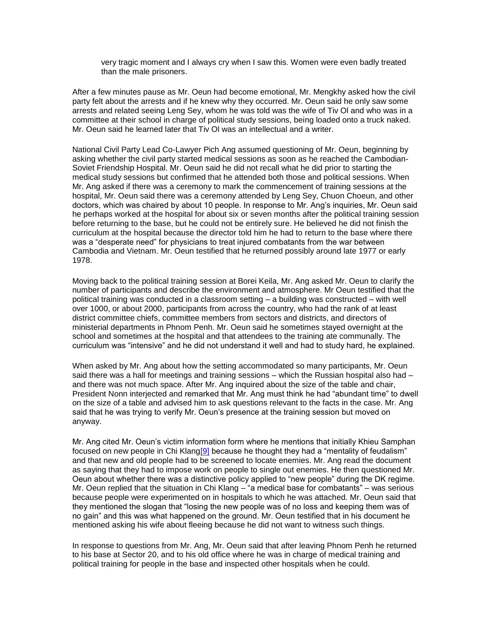very tragic moment and I always cry when I saw this. Women were even badly treated than the male prisoners.

After a few minutes pause as Mr. Oeun had become emotional, Mr. Mengkhy asked how the civil party felt about the arrests and if he knew why they occurred. Mr. Oeun said he only saw some arrests and related seeing Leng Sey, whom he was told was the wife of Tiv Ol and who was in a committee at their school in charge of political study sessions, being loaded onto a truck naked. Mr. Oeun said he learned later that Tiv Ol was an intellectual and a writer.

National Civil Party Lead Co-Lawyer Pich Ang assumed questioning of Mr. Oeun, beginning by asking whether the civil party started medical sessions as soon as he reached the Cambodian-Soviet Friendship Hospital. Mr. Oeun said he did not recall what he did prior to starting the medical study sessions but confirmed that he attended both those and political sessions. When Mr. Ang asked if there was a ceremony to mark the commencement of training sessions at the hospital, Mr. Oeun said there was a ceremony attended by Leng Sey, Chuon Choeun, and other doctors, which was chaired by about 10 people. In response to Mr. Ang's inquiries, Mr. Oeun said he perhaps worked at the hospital for about six or seven months after the political training session before returning to the base, but he could not be entirely sure. He believed he did not finish the curriculum at the hospital because the director told him he had to return to the base where there was a "desperate need" for physicians to treat injured combatants from the war between Cambodia and Vietnam. Mr. Oeun testified that he returned possibly around late 1977 or early 1978.

Moving back to the political training session at Borei Keila, Mr. Ang asked Mr. Oeun to clarify the number of participants and describe the environment and atmosphere. Mr Oeun testified that the political training was conducted in a classroom setting – a building was constructed – with well over 1000, or about 2000, participants from across the country, who had the rank of at least district committee chiefs, committee members from sectors and districts, and directors of ministerial departments in Phnom Penh. Mr. Oeun said he sometimes stayed overnight at the school and sometimes at the hospital and that attendees to the training ate communally. The curriculum was "intensive" and he did not understand it well and had to study hard, he explained.

When asked by Mr. Ang about how the setting accommodated so many participants, Mr. Oeun said there was a hall for meetings and training sessions – which the Russian hospital also had – and there was not much space. After Mr. Ang inquired about the size of the table and chair, President Nonn interjected and remarked that Mr. Ang must think he had "abundant time" to dwell on the size of a table and advised him to ask questions relevant to the facts in the case. Mr. Ang said that he was trying to verify Mr. Oeun's presence at the training session but moved on anyway.

Mr. Ang cited Mr. Oeun's victim information form where he mentions that initially Khieu Samphan focused on new people in Chi Klang<sup>[9]</sup> because he thought they had a "mentality of feudalism" and that new and old people had to be screened to locate enemies. Mr. Ang read the document as saying that they had to impose work on people to single out enemies. He then questioned Mr. Oeun about whether there was a distinctive policy applied to "new people" during the DK regime. Mr. Oeun replied that the situation in Chi Klang – "a medical base for combatants" – was serious because people were experimented on in hospitals to which he was attached. Mr. Oeun said that they mentioned the slogan that "losing the new people was of no loss and keeping them was of no gain" and this was what happened on the ground. Mr. Oeun testified that in his document he mentioned asking his wife about fleeing because he did not want to witness such things.

In response to questions from Mr. Ang, Mr. Oeun said that after leaving Phnom Penh he returned to his base at Sector 20, and to his old office where he was in charge of medical training and political training for people in the base and inspected other hospitals when he could.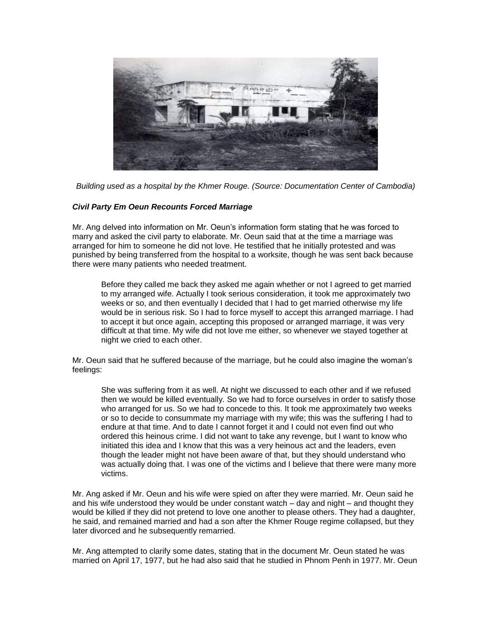

*Building used as a hospital by the Khmer Rouge. (Source: Documentation Center of Cambodia)*

#### *Civil Party Em Oeun Recounts Forced Marriage*

Mr. Ang delved into information on Mr. Oeun's information form stating that he was forced to marry and asked the civil party to elaborate. Mr. Oeun said that at the time a marriage was arranged for him to someone he did not love. He testified that he initially protested and was punished by being transferred from the hospital to a worksite, though he was sent back because there were many patients who needed treatment.

Before they called me back they asked me again whether or not I agreed to get married to my arranged wife. Actually I took serious consideration, it took me approximately two weeks or so, and then eventually I decided that I had to get married otherwise my life would be in serious risk. So I had to force myself to accept this arranged marriage. I had to accept it but once again, accepting this proposed or arranged marriage, it was very difficult at that time. My wife did not love me either, so whenever we stayed together at night we cried to each other.

Mr. Oeun said that he suffered because of the marriage, but he could also imagine the woman's feelings:

She was suffering from it as well. At night we discussed to each other and if we refused then we would be killed eventually. So we had to force ourselves in order to satisfy those who arranged for us. So we had to concede to this. It took me approximately two weeks or so to decide to consummate my marriage with my wife; this was the suffering I had to endure at that time. And to date I cannot forget it and I could not even find out who ordered this heinous crime. I did not want to take any revenge, but I want to know who initiated this idea and I know that this was a very heinous act and the leaders, even though the leader might not have been aware of that, but they should understand who was actually doing that. I was one of the victims and I believe that there were many more victims.

Mr. Ang asked if Mr. Oeun and his wife were spied on after they were married. Mr. Oeun said he and his wife understood they would be under constant watch – day and night – and thought they would be killed if they did not pretend to love one another to please others. They had a daughter, he said, and remained married and had a son after the Khmer Rouge regime collapsed, but they later divorced and he subsequently remarried.

Mr. Ang attempted to clarify some dates, stating that in the document Mr. Oeun stated he was married on April 17, 1977, but he had also said that he studied in Phnom Penh in 1977. Mr. Oeun